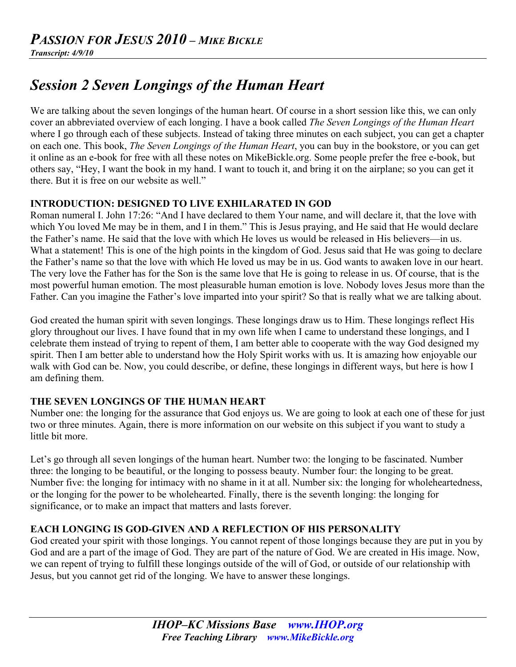# *Session 2 Seven Longings of the Human Heart*

We are talking about the seven longings of the human heart. Of course in a short session like this, we can only cover an abbreviated overview of each longing. I have a book called *The Seven Longings of the Human Heart* where I go through each of these subjects. Instead of taking three minutes on each subject, you can get a chapter on each one. This book, *The Seven Longings of the Human Heart*, you can buy in the bookstore, or you can get it online as an e-book for free with all these notes on MikeBickle.org. Some people prefer the free e-book, but others say, "Hey, I want the book in my hand. I want to touch it, and bring it on the airplane; so you can get it there. But it is free on our website as well."

# **INTRODUCTION: DESIGNED TO LIVE EXHILARATED IN GOD**

Roman numeral I. John 17:26: "And I have declared to them Your name, and will declare it, that the love with which You loved Me may be in them, and I in them." This is Jesus praying, and He said that He would declare the Father's name. He said that the love with which He loves us would be released in His believers—in us. What a statement! This is one of the high points in the kingdom of God. Jesus said that He was going to declare the Father's name so that the love with which He loved us may be in us. God wants to awaken love in our heart. The very love the Father has for the Son is the same love that He is going to release in us. Of course, that is the most powerful human emotion. The most pleasurable human emotion is love. Nobody loves Jesus more than the Father. Can you imagine the Father's love imparted into your spirit? So that is really what we are talking about.

God created the human spirit with seven longings. These longings draw us to Him. These longings reflect His glory throughout our lives. I have found that in my own life when I came to understand these longings, and I celebrate them instead of trying to repent of them, I am better able to cooperate with the way God designed my spirit. Then I am better able to understand how the Holy Spirit works with us. It is amazing how enjoyable our walk with God can be. Now, you could describe, or define, these longings in different ways, but here is how I am defining them.

# **THE SEVEN LONGINGS OF THE HUMAN HEART**

Number one: the longing for the assurance that God enjoys us. We are going to look at each one of these for just two or three minutes. Again, there is more information on our website on this subject if you want to study a little bit more.

Let's go through all seven longings of the human heart. Number two: the longing to be fascinated. Number three: the longing to be beautiful, or the longing to possess beauty. Number four: the longing to be great. Number five: the longing for intimacy with no shame in it at all. Number six: the longing for wholeheartedness, or the longing for the power to be wholehearted. Finally, there is the seventh longing: the longing for significance, or to make an impact that matters and lasts forever.

# **EACH LONGING IS GOD-GIVEN AND A REFLECTION OF HIS PERSONALITY**

God created your spirit with those longings. You cannot repent of those longings because they are put in you by God and are a part of the image of God. They are part of the nature of God. We are created in His image. Now, we can repent of trying to fulfill these longings outside of the will of God, or outside of our relationship with Jesus, but you cannot get rid of the longing. We have to answer these longings.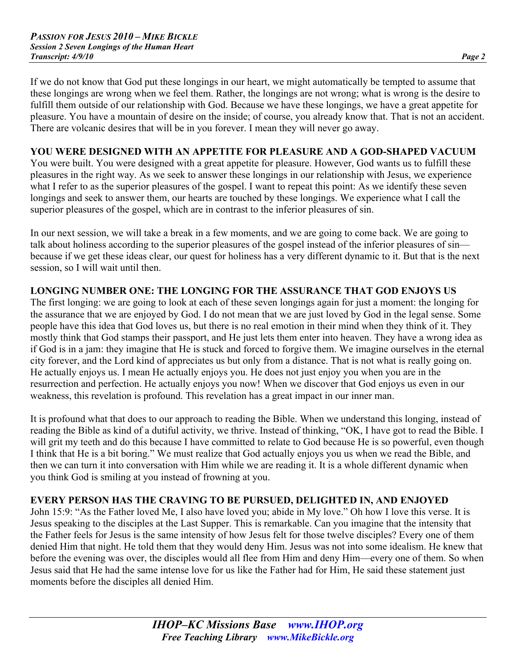If we do not know that God put these longings in our heart, we might automatically be tempted to assume that these longings are wrong when we feel them. Rather, the longings are not wrong; what is wrong is the desire to fulfill them outside of our relationship with God. Because we have these longings, we have a great appetite for pleasure. You have a mountain of desire on the inside; of course, you already know that. That is not an accident. There are volcanic desires that will be in you forever. I mean they will never go away.

# **YOU WERE DESIGNED WITH AN APPETITE FOR PLEASURE AND A GOD-SHAPED VACUUM**

You were built. You were designed with a great appetite for pleasure. However, God wants us to fulfill these pleasures in the right way. As we seek to answer these longings in our relationship with Jesus, we experience what I refer to as the superior pleasures of the gospel. I want to repeat this point: As we identify these seven longings and seek to answer them, our hearts are touched by these longings. We experience what I call the superior pleasures of the gospel, which are in contrast to the inferior pleasures of sin.

In our next session, we will take a break in a few moments, and we are going to come back. We are going to talk about holiness according to the superior pleasures of the gospel instead of the inferior pleasures of sin because if we get these ideas clear, our quest for holiness has a very different dynamic to it. But that is the next session, so I will wait until then.

# **LONGING NUMBER ONE: THE LONGING FOR THE ASSURANCE THAT GOD ENJOYS US**

The first longing: we are going to look at each of these seven longings again for just a moment: the longing for the assurance that we are enjoyed by God. I do not mean that we are just loved by God in the legal sense. Some people have this idea that God loves us, but there is no real emotion in their mind when they think of it. They mostly think that God stamps their passport, and He just lets them enter into heaven. They have a wrong idea as if God is in a jam: they imagine that He is stuck and forced to forgive them. We imagine ourselves in the eternal city forever, and the Lord kind of appreciates us but only from a distance. That is not what is really going on. He actually enjoys us. I mean He actually enjoys you. He does not just enjoy you when you are in the resurrection and perfection. He actually enjoys you now! When we discover that God enjoys us even in our weakness, this revelation is profound. This revelation has a great impact in our inner man.

It is profound what that does to our approach to reading the Bible. When we understand this longing, instead of reading the Bible as kind of a dutiful activity, we thrive. Instead of thinking, "OK, I have got to read the Bible. I will grit my teeth and do this because I have committed to relate to God because He is so powerful, even though I think that He is a bit boring." We must realize that God actually enjoys you us when we read the Bible, and then we can turn it into conversation with Him while we are reading it. It is a whole different dynamic when you think God is smiling at you instead of frowning at you.

# **EVERY PERSON HAS THE CRAVING TO BE PURSUED, DELIGHTED IN, AND ENJOYED**

John 15:9: "As the Father loved Me, I also have loved you; abide in My love." Oh how I love this verse. It is Jesus speaking to the disciples at the Last Supper. This is remarkable. Can you imagine that the intensity that the Father feels for Jesus is the same intensity of how Jesus felt for those twelve disciples? Every one of them denied Him that night. He told them that they would deny Him. Jesus was not into some idealism. He knew that before the evening was over, the disciples would all flee from Him and deny Him—every one of them. So when Jesus said that He had the same intense love for us like the Father had for Him, He said these statement just moments before the disciples all denied Him.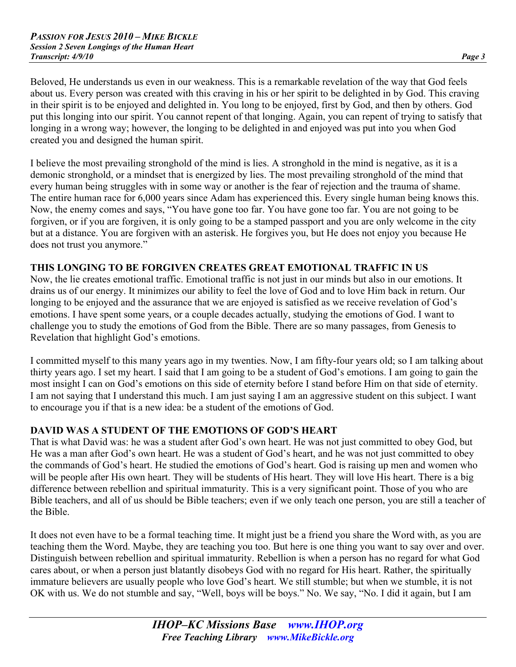Beloved, He understands us even in our weakness. This is a remarkable revelation of the way that God feels about us. Every person was created with this craving in his or her spirit to be delighted in by God. This craving in their spirit is to be enjoyed and delighted in. You long to be enjoyed, first by God, and then by others. God put this longing into our spirit. You cannot repent of that longing. Again, you can repent of trying to satisfy that longing in a wrong way; however, the longing to be delighted in and enjoyed was put into you when God created you and designed the human spirit.

I believe the most prevailing stronghold of the mind is lies. A stronghold in the mind is negative, as it is a demonic stronghold, or a mindset that is energized by lies. The most prevailing stronghold of the mind that every human being struggles with in some way or another is the fear of rejection and the trauma of shame. The entire human race for 6,000 years since Adam has experienced this. Every single human being knows this. Now, the enemy comes and says, "You have gone too far. You have gone too far. You are not going to be forgiven, or if you are forgiven, it is only going to be a stamped passport and you are only welcome in the city but at a distance. You are forgiven with an asterisk. He forgives you, but He does not enjoy you because He does not trust you anymore."

## **THIS LONGING TO BE FORGIVEN CREATES GREAT EMOTIONAL TRAFFIC IN US**

Now, the lie creates emotional traffic. Emotional traffic is not just in our minds but also in our emotions. It drains us of our energy. It minimizes our ability to feel the love of God and to love Him back in return. Our longing to be enjoyed and the assurance that we are enjoyed is satisfied as we receive revelation of God's emotions. I have spent some years, or a couple decades actually, studying the emotions of God. I want to challenge you to study the emotions of God from the Bible. There are so many passages, from Genesis to Revelation that highlight God's emotions.

I committed myself to this many years ago in my twenties. Now, I am fifty-four years old; so I am talking about thirty years ago. I set my heart. I said that I am going to be a student of God's emotions. I am going to gain the most insight I can on God's emotions on this side of eternity before I stand before Him on that side of eternity. I am not saying that I understand this much. I am just saying I am an aggressive student on this subject. I want to encourage you if that is a new idea: be a student of the emotions of God.

# **DAVID WAS A STUDENT OF THE EMOTIONS OF GOD'S HEART**

That is what David was: he was a student after God's own heart. He was not just committed to obey God, but He was a man after God's own heart. He was a student of God's heart, and he was not just committed to obey the commands of God's heart. He studied the emotions of God's heart. God is raising up men and women who will be people after His own heart. They will be students of His heart. They will love His heart. There is a big difference between rebellion and spiritual immaturity. This is a very significant point. Those of you who are Bible teachers, and all of us should be Bible teachers; even if we only teach one person, you are still a teacher of the Bible.

It does not even have to be a formal teaching time. It might just be a friend you share the Word with, as you are teaching them the Word. Maybe, they are teaching you too. But here is one thing you want to say over and over. Distinguish between rebellion and spiritual immaturity. Rebellion is when a person has no regard for what God cares about, or when a person just blatantly disobeys God with no regard for His heart. Rather, the spiritually immature believers are usually people who love God's heart. We still stumble; but when we stumble, it is not OK with us. We do not stumble and say, "Well, boys will be boys." No. We say, "No. I did it again, but I am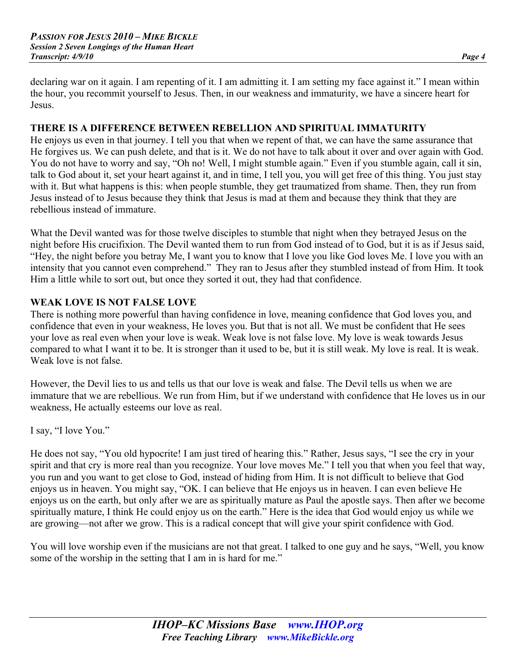declaring war on it again. I am repenting of it. I am admitting it. I am setting my face against it." I mean within the hour, you recommit yourself to Jesus. Then, in our weakness and immaturity, we have a sincere heart for Jesus.

#### **THERE IS A DIFFERENCE BETWEEN REBELLION AND SPIRITUAL IMMATURITY**

He enjoys us even in that journey. I tell you that when we repent of that, we can have the same assurance that He forgives us. We can push delete, and that is it. We do not have to talk about it over and over again with God. You do not have to worry and say, "Oh no! Well, I might stumble again." Even if you stumble again, call it sin, talk to God about it, set your heart against it, and in time, I tell you, you will get free of this thing. You just stay with it. But what happens is this: when people stumble, they get traumatized from shame. Then, they run from Jesus instead of to Jesus because they think that Jesus is mad at them and because they think that they are rebellious instead of immature.

What the Devil wanted was for those twelve disciples to stumble that night when they betrayed Jesus on the night before His crucifixion. The Devil wanted them to run from God instead of to God, but it is as if Jesus said, "Hey, the night before you betray Me, I want you to know that I love you like God loves Me. I love you with an intensity that you cannot even comprehend." They ran to Jesus after they stumbled instead of from Him. It took Him a little while to sort out, but once they sorted it out, they had that confidence.

#### **WEAK LOVE IS NOT FALSE LOVE**

There is nothing more powerful than having confidence in love, meaning confidence that God loves you, and confidence that even in your weakness, He loves you. But that is not all. We must be confident that He sees your love as real even when your love is weak. Weak love is not false love. My love is weak towards Jesus compared to what I want it to be. It is stronger than it used to be, but it is still weak. My love is real. It is weak. Weak love is not false.

However, the Devil lies to us and tells us that our love is weak and false. The Devil tells us when we are immature that we are rebellious. We run from Him, but if we understand with confidence that He loves us in our weakness, He actually esteems our love as real.

I say, "I love You."

He does not say, "You old hypocrite! I am just tired of hearing this." Rather, Jesus says, "I see the cry in your spirit and that cry is more real than you recognize. Your love moves Me." I tell you that when you feel that way, you run and you want to get close to God, instead of hiding from Him. It is not difficult to believe that God enjoys us in heaven. You might say, "OK. I can believe that He enjoys us in heaven. I can even believe He enjoys us on the earth, but only after we are as spiritually mature as Paul the apostle says. Then after we become spiritually mature, I think He could enjoy us on the earth." Here is the idea that God would enjoy us while we are growing—not after we grow. This is a radical concept that will give your spirit confidence with God.

You will love worship even if the musicians are not that great. I talked to one guy and he says, "Well, you know some of the worship in the setting that I am in is hard for me."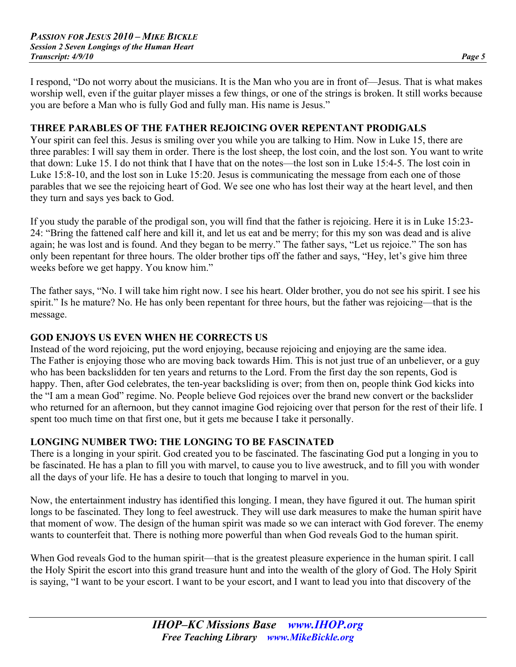I respond, "Do not worry about the musicians. It is the Man who you are in front of—Jesus. That is what makes worship well, even if the guitar player misses a few things, or one of the strings is broken. It still works because you are before a Man who is fully God and fully man. His name is Jesus."

#### **THREE PARABLES OF THE FATHER REJOICING OVER REPENTANT PRODIGALS**

Your spirit can feel this. Jesus is smiling over you while you are talking to Him. Now in Luke 15, there are three parables: I will say them in order. There is the lost sheep, the lost coin, and the lost son. You want to write that down: Luke 15. I do not think that I have that on the notes—the lost son in Luke 15:4-5. The lost coin in Luke 15:8-10, and the lost son in Luke 15:20. Jesus is communicating the message from each one of those parables that we see the rejoicing heart of God. We see one who has lost their way at the heart level, and then they turn and says yes back to God.

If you study the parable of the prodigal son, you will find that the father is rejoicing. Here it is in Luke 15:23- 24: "Bring the fattened calf here and kill it, and let us eat and be merry; for this my son was dead and is alive again; he was lost and is found. And they began to be merry." The father says, "Let us rejoice." The son has only been repentant for three hours. The older brother tips off the father and says, "Hey, let's give him three weeks before we get happy. You know him."

The father says, "No. I will take him right now. I see his heart. Older brother, you do not see his spirit. I see his spirit." Is he mature? No. He has only been repentant for three hours, but the father was rejoicing—that is the message.

#### **GOD ENJOYS US EVEN WHEN HE CORRECTS US**

Instead of the word rejoicing, put the word enjoying, because rejoicing and enjoying are the same idea. The Father is enjoying those who are moving back towards Him. This is not just true of an unbeliever, or a guy who has been backslidden for ten years and returns to the Lord. From the first day the son repents, God is happy. Then, after God celebrates, the ten-year backsliding is over; from then on, people think God kicks into the "I am a mean God" regime. No. People believe God rejoices over the brand new convert or the backslider who returned for an afternoon, but they cannot imagine God rejoicing over that person for the rest of their life. I spent too much time on that first one, but it gets me because I take it personally.

# **LONGING NUMBER TWO: THE LONGING TO BE FASCINATED**

There is a longing in your spirit. God created you to be fascinated. The fascinating God put a longing in you to be fascinated. He has a plan to fill you with marvel, to cause you to live awestruck, and to fill you with wonder all the days of your life. He has a desire to touch that longing to marvel in you.

Now, the entertainment industry has identified this longing. I mean, they have figured it out. The human spirit longs to be fascinated. They long to feel awestruck. They will use dark measures to make the human spirit have that moment of wow. The design of the human spirit was made so we can interact with God forever. The enemy wants to counterfeit that. There is nothing more powerful than when God reveals God to the human spirit.

When God reveals God to the human spirit—that is the greatest pleasure experience in the human spirit. I call the Holy Spirit the escort into this grand treasure hunt and into the wealth of the glory of God. The Holy Spirit is saying, "I want to be your escort. I want to be your escort, and I want to lead you into that discovery of the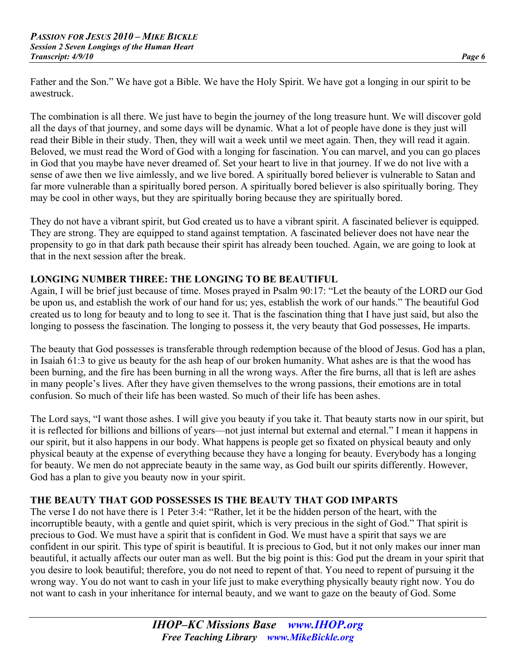Father and the Son." We have got a Bible. We have the Holy Spirit. We have got a longing in our spirit to be awestruck.

The combination is all there. We just have to begin the journey of the long treasure hunt. We will discover gold all the days of that journey, and some days will be dynamic. What a lot of people have done is they just will read their Bible in their study. Then, they will wait a week until we meet again. Then, they will read it again. Beloved, we must read the Word of God with a longing for fascination. You can marvel, and you can go places in God that you maybe have never dreamed of. Set your heart to live in that journey. If we do not live with a sense of awe then we live aimlessly, and we live bored. A spiritually bored believer is vulnerable to Satan and far more vulnerable than a spiritually bored person. A spiritually bored believer is also spiritually boring. They may be cool in other ways, but they are spiritually boring because they are spiritually bored.

They do not have a vibrant spirit, but God created us to have a vibrant spirit. A fascinated believer is equipped. They are strong. They are equipped to stand against temptation. A fascinated believer does not have near the propensity to go in that dark path because their spirit has already been touched. Again, we are going to look at that in the next session after the break.

# **LONGING NUMBER THREE: THE LONGING TO BE BEAUTIFUL**

Again, I will be brief just because of time. Moses prayed in Psalm 90:17: "Let the beauty of the LORD our God be upon us, and establish the work of our hand for us; yes, establish the work of our hands." The beautiful God created us to long for beauty and to long to see it. That is the fascination thing that I have just said, but also the longing to possess the fascination. The longing to possess it, the very beauty that God possesses, He imparts.

The beauty that God possesses is transferable through redemption because of the blood of Jesus. God has a plan, in Isaiah 61:3 to give us beauty for the ash heap of our broken humanity. What ashes are is that the wood has been burning, and the fire has been burning in all the wrong ways. After the fire burns, all that is left are ashes in many people's lives. After they have given themselves to the wrong passions, their emotions are in total confusion. So much of their life has been wasted. So much of their life has been ashes.

The Lord says, "I want those ashes. I will give you beauty if you take it. That beauty starts now in our spirit, but it is reflected for billions and billions of years—not just internal but external and eternal." I mean it happens in our spirit, but it also happens in our body. What happens is people get so fixated on physical beauty and only physical beauty at the expense of everything because they have a longing for beauty. Everybody has a longing for beauty. We men do not appreciate beauty in the same way, as God built our spirits differently. However, God has a plan to give you beauty now in your spirit.

# **THE BEAUTY THAT GOD POSSESSES IS THE BEAUTY THAT GOD IMPARTS**

The verse I do not have there is 1 Peter 3:4: "Rather, let it be the hidden person of the heart, with the incorruptible beauty, with a gentle and quiet spirit, which is very precious in the sight of God." That spirit is precious to God. We must have a spirit that is confident in God. We must have a spirit that says we are confident in our spirit. This type of spirit is beautiful. It is precious to God, but it not only makes our inner man beautiful, it actually affects our outer man as well. But the big point is this: God put the dream in your spirit that you desire to look beautiful; therefore, you do not need to repent of that. You need to repent of pursuing it the wrong way. You do not want to cash in your life just to make everything physically beauty right now. You do not want to cash in your inheritance for internal beauty, and we want to gaze on the beauty of God. Some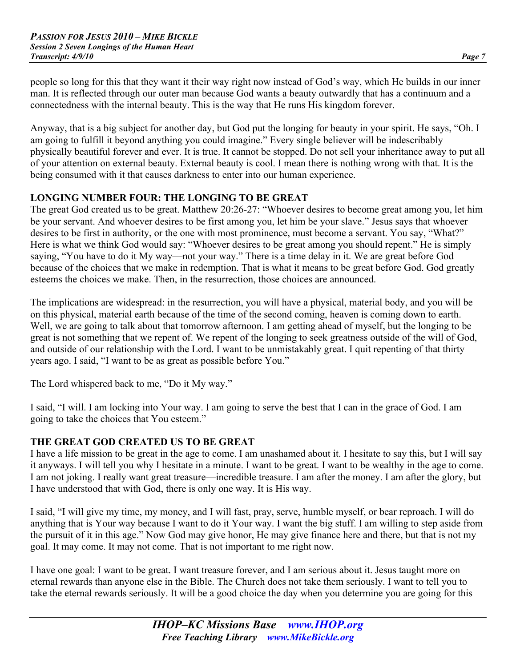people so long for this that they want it their way right now instead of God's way, which He builds in our inner man. It is reflected through our outer man because God wants a beauty outwardly that has a continuum and a connectedness with the internal beauty. This is the way that He runs His kingdom forever.

Anyway, that is a big subject for another day, but God put the longing for beauty in your spirit. He says, "Oh. I am going to fulfill it beyond anything you could imagine." Every single believer will be indescribably physically beautiful forever and ever. It is true. It cannot be stopped. Do not sell your inheritance away to put all of your attention on external beauty. External beauty is cool. I mean there is nothing wrong with that. It is the being consumed with it that causes darkness to enter into our human experience.

# **LONGING NUMBER FOUR: THE LONGING TO BE GREAT**

The great God created us to be great. Matthew 20:26-27: "Whoever desires to become great among you, let him be your servant. And whoever desires to be first among you, let him be your slave." Jesus says that whoever desires to be first in authority, or the one with most prominence, must become a servant. You say, "What?" Here is what we think God would say: "Whoever desires to be great among you should repent." He is simply saying, "You have to do it My way—not your way." There is a time delay in it. We are great before God because of the choices that we make in redemption. That is what it means to be great before God. God greatly esteems the choices we make. Then, in the resurrection, those choices are announced.

The implications are widespread: in the resurrection, you will have a physical, material body, and you will be on this physical, material earth because of the time of the second coming, heaven is coming down to earth. Well, we are going to talk about that tomorrow afternoon. I am getting ahead of myself, but the longing to be great is not something that we repent of. We repent of the longing to seek greatness outside of the will of God, and outside of our relationship with the Lord. I want to be unmistakably great. I quit repenting of that thirty years ago. I said, "I want to be as great as possible before You."

The Lord whispered back to me, "Do it My way."

I said, "I will. I am locking into Your way. I am going to serve the best that I can in the grace of God. I am going to take the choices that You esteem."

# **THE GREAT GOD CREATED US TO BE GREAT**

I have a life mission to be great in the age to come. I am unashamed about it. I hesitate to say this, but I will say it anyways. I will tell you why I hesitate in a minute. I want to be great. I want to be wealthy in the age to come. I am not joking. I really want great treasure—incredible treasure. I am after the money. I am after the glory, but I have understood that with God, there is only one way. It is His way.

I said, "I will give my time, my money, and I will fast, pray, serve, humble myself, or bear reproach. I will do anything that is Your way because I want to do it Your way. I want the big stuff. I am willing to step aside from the pursuit of it in this age." Now God may give honor, He may give finance here and there, but that is not my goal. It may come. It may not come. That is not important to me right now.

I have one goal: I want to be great. I want treasure forever, and I am serious about it. Jesus taught more on eternal rewards than anyone else in the Bible. The Church does not take them seriously. I want to tell you to take the eternal rewards seriously. It will be a good choice the day when you determine you are going for this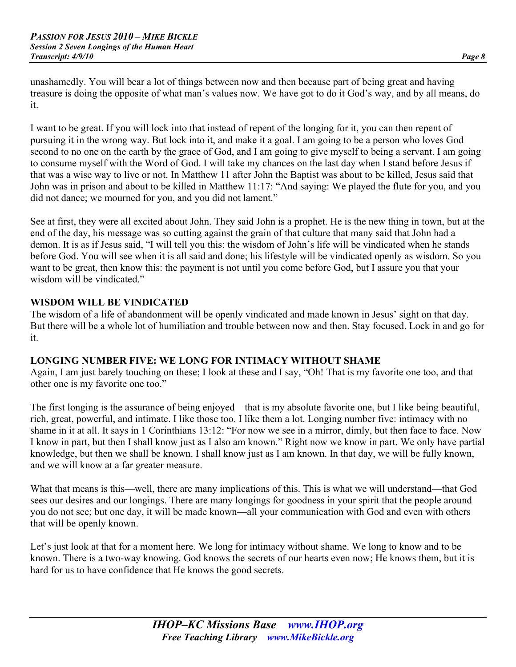unashamedly. You will bear a lot of things between now and then because part of being great and having treasure is doing the opposite of what man's values now. We have got to do it God's way, and by all means, do it.

I want to be great. If you will lock into that instead of repent of the longing for it, you can then repent of pursuing it in the wrong way. But lock into it, and make it a goal. I am going to be a person who loves God second to no one on the earth by the grace of God, and I am going to give myself to being a servant. I am going to consume myself with the Word of God. I will take my chances on the last day when I stand before Jesus if that was a wise way to live or not. In Matthew 11 after John the Baptist was about to be killed, Jesus said that John was in prison and about to be killed in Matthew 11:17: "And saying: We played the flute for you, and you did not dance; we mourned for you, and you did not lament."

See at first, they were all excited about John. They said John is a prophet. He is the new thing in town, but at the end of the day, his message was so cutting against the grain of that culture that many said that John had a demon. It is as if Jesus said, "I will tell you this: the wisdom of John's life will be vindicated when he stands before God. You will see when it is all said and done; his lifestyle will be vindicated openly as wisdom. So you want to be great, then know this: the payment is not until you come before God, but I assure you that your wisdom will be vindicated."

## **WISDOM WILL BE VINDICATED**

The wisdom of a life of abandonment will be openly vindicated and made known in Jesus' sight on that day. But there will be a whole lot of humiliation and trouble between now and then. Stay focused. Lock in and go for it.

#### **LONGING NUMBER FIVE: WE LONG FOR INTIMACY WITHOUT SHAME**

Again, I am just barely touching on these; I look at these and I say, "Oh! That is my favorite one too, and that other one is my favorite one too."

The first longing is the assurance of being enjoyed—that is my absolute favorite one, but I like being beautiful, rich, great, powerful, and intimate. I like those too. I like them a lot. Longing number five: intimacy with no shame in it at all. It says in 1 Corinthians 13:12: "For now we see in a mirror, dimly, but then face to face. Now I know in part, but then I shall know just as I also am known." Right now we know in part. We only have partial knowledge, but then we shall be known. I shall know just as I am known. In that day, we will be fully known, and we will know at a far greater measure.

What that means is this—well, there are many implications of this. This is what we will understand—that God sees our desires and our longings. There are many longings for goodness in your spirit that the people around you do not see; but one day, it will be made known—all your communication with God and even with others that will be openly known.

Let's just look at that for a moment here. We long for intimacy without shame. We long to know and to be known. There is a two-way knowing. God knows the secrets of our hearts even now; He knows them, but it is hard for us to have confidence that He knows the good secrets.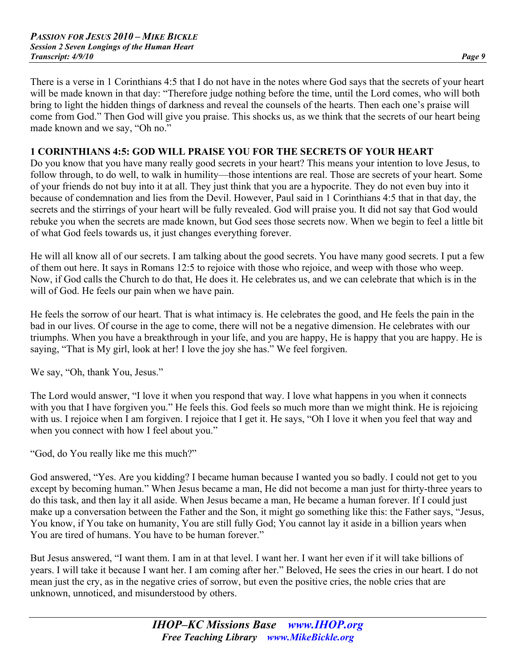There is a verse in 1 Corinthians 4:5 that I do not have in the notes where God says that the secrets of your heart will be made known in that day: "Therefore judge nothing before the time, until the Lord comes, who will both bring to light the hidden things of darkness and reveal the counsels of the hearts. Then each one's praise will come from God." Then God will give you praise. This shocks us, as we think that the secrets of our heart being made known and we say, "Oh no."

## **1 CORINTHIANS 4:5: GOD WILL PRAISE YOU FOR THE SECRETS OF YOUR HEART**

Do you know that you have many really good secrets in your heart? This means your intention to love Jesus, to follow through, to do well, to walk in humility—those intentions are real. Those are secrets of your heart. Some of your friends do not buy into it at all. They just think that you are a hypocrite. They do not even buy into it because of condemnation and lies from the Devil. However, Paul said in 1 Corinthians 4:5 that in that day, the secrets and the stirrings of your heart will be fully revealed. God will praise you. It did not say that God would rebuke you when the secrets are made known, but God sees those secrets now. When we begin to feel a little bit of what God feels towards us, it just changes everything forever.

He will all know all of our secrets. I am talking about the good secrets. You have many good secrets. I put a few of them out here. It says in Romans 12:5 to rejoice with those who rejoice, and weep with those who weep. Now, if God calls the Church to do that, He does it. He celebrates us, and we can celebrate that which is in the will of God. He feels our pain when we have pain.

He feels the sorrow of our heart. That is what intimacy is. He celebrates the good, and He feels the pain in the bad in our lives. Of course in the age to come, there will not be a negative dimension. He celebrates with our triumphs. When you have a breakthrough in your life, and you are happy, He is happy that you are happy. He is saying, "That is My girl, look at her! I love the joy she has." We feel forgiven.

We say, "Oh, thank You, Jesus."

The Lord would answer, "I love it when you respond that way. I love what happens in you when it connects with you that I have forgiven you." He feels this. God feels so much more than we might think. He is rejoicing with us. I rejoice when I am forgiven. I rejoice that I get it. He says, "Oh I love it when you feel that way and when you connect with how I feel about you."

"God, do You really like me this much?"

God answered, "Yes. Are you kidding? I became human because I wanted you so badly. I could not get to you except by becoming human." When Jesus became a man, He did not become a man just for thirty-three years to do this task, and then lay it all aside. When Jesus became a man, He became a human forever. If I could just make up a conversation between the Father and the Son, it might go something like this: the Father says, "Jesus, You know, if You take on humanity, You are still fully God; You cannot lay it aside in a billion years when You are tired of humans. You have to be human forever."

But Jesus answered, "I want them. I am in at that level. I want her. I want her even if it will take billions of years. I will take it because I want her. I am coming after her." Beloved, He sees the cries in our heart. I do not mean just the cry, as in the negative cries of sorrow, but even the positive cries, the noble cries that are unknown, unnoticed, and misunderstood by others.